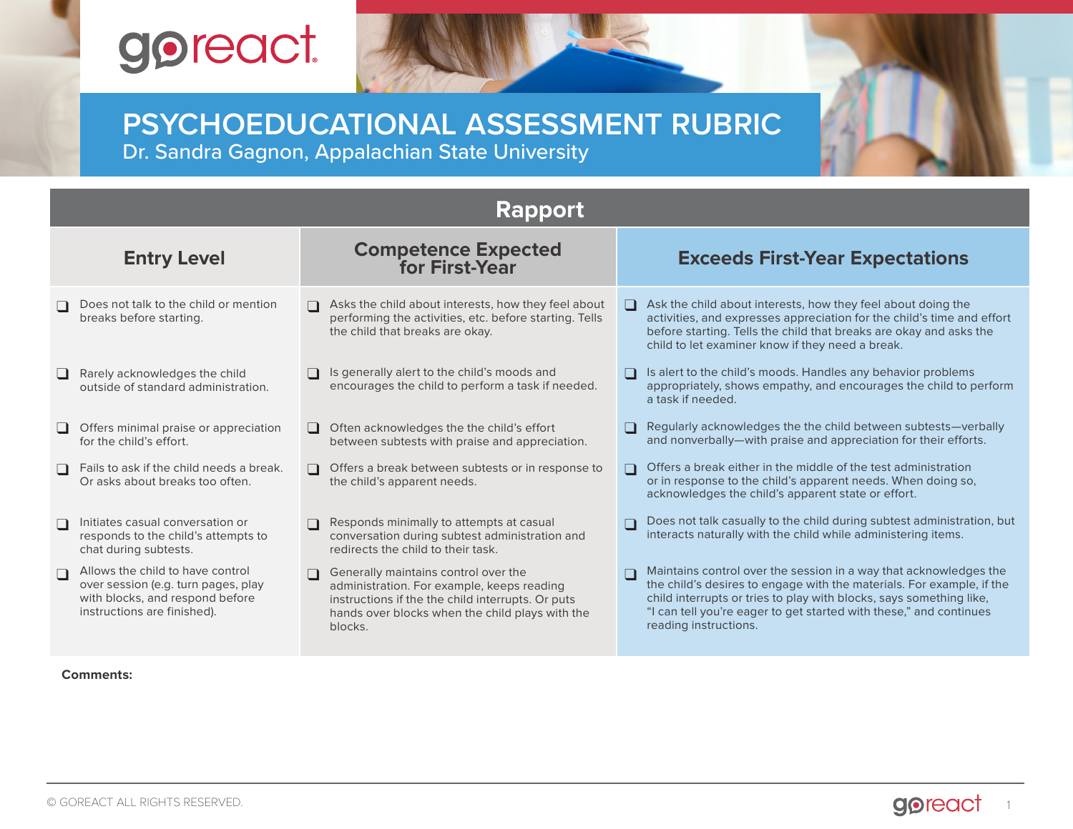# goreact.

## **PSYCHOEDUCATIONAL ASSESSMENT RUBRIC** Dr. Sandra Gagnon, Appalachian State University

| <b>Rapport</b>     |                                                                                                                                           |                                              |                                                                                                                                                                                                       |                                        |                                                                                                                                                                                                                                                                                                                  |  |
|--------------------|-------------------------------------------------------------------------------------------------------------------------------------------|----------------------------------------------|-------------------------------------------------------------------------------------------------------------------------------------------------------------------------------------------------------|----------------------------------------|------------------------------------------------------------------------------------------------------------------------------------------------------------------------------------------------------------------------------------------------------------------------------------------------------------------|--|
| <b>Entry Level</b> |                                                                                                                                           | <b>Competence Expected</b><br>for First-Year |                                                                                                                                                                                                       | <b>Exceeds First-Year Expectations</b> |                                                                                                                                                                                                                                                                                                                  |  |
|                    | Does not talk to the child or mention<br>breaks before starting.                                                                          |                                              | Asks the child about interests, how they feel about<br>performing the activities, etc. before starting. Tells<br>the child that breaks are okay.                                                      |                                        | $\Box$ Ask the child about interests, how they feel about doing the<br>activities, and expresses appreciation for the child's time and effort<br>before starting. Tells the child that breaks are okay and asks the<br>child to let examiner know if they need a break.                                          |  |
| $\Box$             | Rarely acknowledges the child<br>outside of standard administration.                                                                      |                                              | Is generally alert to the child's moods and<br>encourages the child to perform a task if needed.                                                                                                      |                                        | Is alert to the child's moods. Handles any behavior problems<br>appropriately, shows empathy, and encourages the child to perform<br>a task if needed.                                                                                                                                                           |  |
|                    | Offers minimal praise or appreciation<br>for the child's effort.                                                                          |                                              | □ Often acknowledges the the child's effort<br>between subtests with praise and appreciation.                                                                                                         | $\Box$                                 | Regularly acknowledges the the child between subtests—verbally<br>and nonverbally-with praise and appreciation for their efforts.                                                                                                                                                                                |  |
| $\Box$             | Fails to ask if the child needs a break.<br>Or asks about breaks too often.                                                               |                                              | Offers a break between subtests or in response to<br>the child's apparent needs.                                                                                                                      | n                                      | Offers a break either in the middle of the test administration<br>or in response to the child's apparent needs. When doing so,<br>acknowledges the child's apparent state or effort.                                                                                                                             |  |
| $\Box$             | Initiates casual conversation or<br>responds to the child's attempts to<br>chat during subtests.                                          | $\Box$                                       | Responds minimally to attempts at casual<br>conversation during subtest administration and<br>redirects the child to their task.                                                                      |                                        | Does not talk casually to the child during subtest administration, but<br>interacts naturally with the child while administering items.                                                                                                                                                                          |  |
| $\Box$             | Allows the child to have control<br>over session (e.g. turn pages, play<br>with blocks, and respond before<br>instructions are finished). |                                              | Generally maintains control over the<br>administration. For example, keeps reading<br>instructions if the the child interrupts. Or puts<br>hands over blocks when the child plays with the<br>blocks. |                                        | Maintains control over the session in a way that acknowledges the<br>the child's desires to engage with the materials. For example, if the<br>child interrupts or tries to play with blocks, says something like,<br>"I can tell you're eager to get started with these," and continues<br>reading instructions. |  |

#### **Comments:**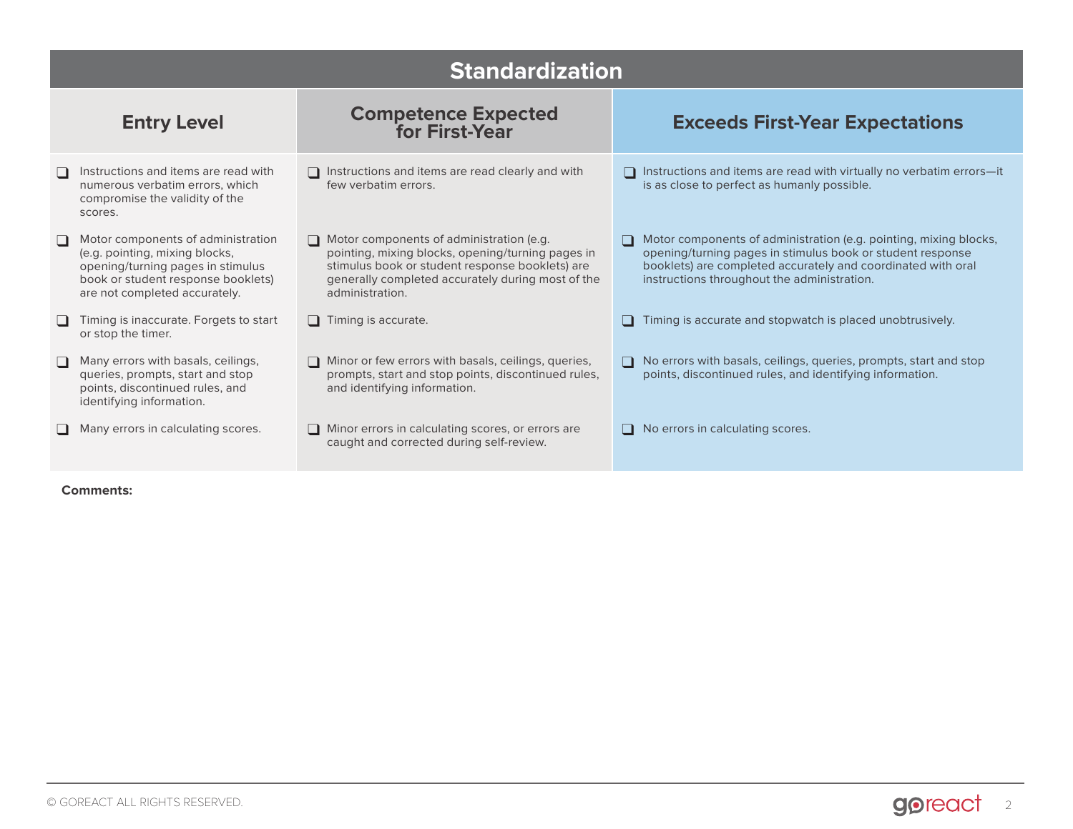|        | <b>Standardization</b>                                                                                                                                                           |                                                                                                                                                                                                                                 |                                                                                                                                                                                                                                                     |  |  |  |
|--------|----------------------------------------------------------------------------------------------------------------------------------------------------------------------------------|---------------------------------------------------------------------------------------------------------------------------------------------------------------------------------------------------------------------------------|-----------------------------------------------------------------------------------------------------------------------------------------------------------------------------------------------------------------------------------------------------|--|--|--|
|        | <b>Entry Level</b>                                                                                                                                                               | <b>Competence Expected</b><br>for First-Year                                                                                                                                                                                    | <b>Exceeds First-Year Expectations</b>                                                                                                                                                                                                              |  |  |  |
|        | Instructions and items are read with<br>numerous verbatim errors, which<br>compromise the validity of the<br>scores.                                                             | □ Instructions and items are read clearly and with<br>few verbatim errors.                                                                                                                                                      | Instructions and items are read with virtually no verbatim errors-it<br>is as close to perfect as humanly possible.                                                                                                                                 |  |  |  |
|        | Motor components of administration<br>(e.g. pointing, mixing blocks,<br>opening/turning pages in stimulus<br>book or student response booklets)<br>are not completed accurately. | $\Box$ Motor components of administration (e.g.<br>pointing, mixing blocks, opening/turning pages in<br>stimulus book or student response booklets) are<br>generally completed accurately during most of the<br>administration. | Motor components of administration (e.g. pointing, mixing blocks,<br>∩<br>opening/turning pages in stimulus book or student response<br>booklets) are completed accurately and coordinated with oral<br>instructions throughout the administration. |  |  |  |
|        | Timing is inaccurate. Forgets to start<br>or stop the timer.                                                                                                                     | $\Box$ Timing is accurate.                                                                                                                                                                                                      | Timing is accurate and stopwatch is placed unobtrusively.<br>$\Box$                                                                                                                                                                                 |  |  |  |
| $\Box$ | Many errors with basals, ceilings,<br>queries, prompts, start and stop<br>points, discontinued rules, and<br>identifying information.                                            | Minor or few errors with basals, ceilings, queries,<br>prompts, start and stop points, discontinued rules,<br>and identifying information.                                                                                      | $\Box$ No errors with basals, ceilings, queries, prompts, start and stop<br>points, discontinued rules, and identifying information.                                                                                                                |  |  |  |
|        | Many errors in calculating scores.                                                                                                                                               | $\Box$ Minor errors in calculating scores, or errors are<br>caught and corrected during self-review.                                                                                                                            | $\Box$ No errors in calculating scores.                                                                                                                                                                                                             |  |  |  |

**Comments:**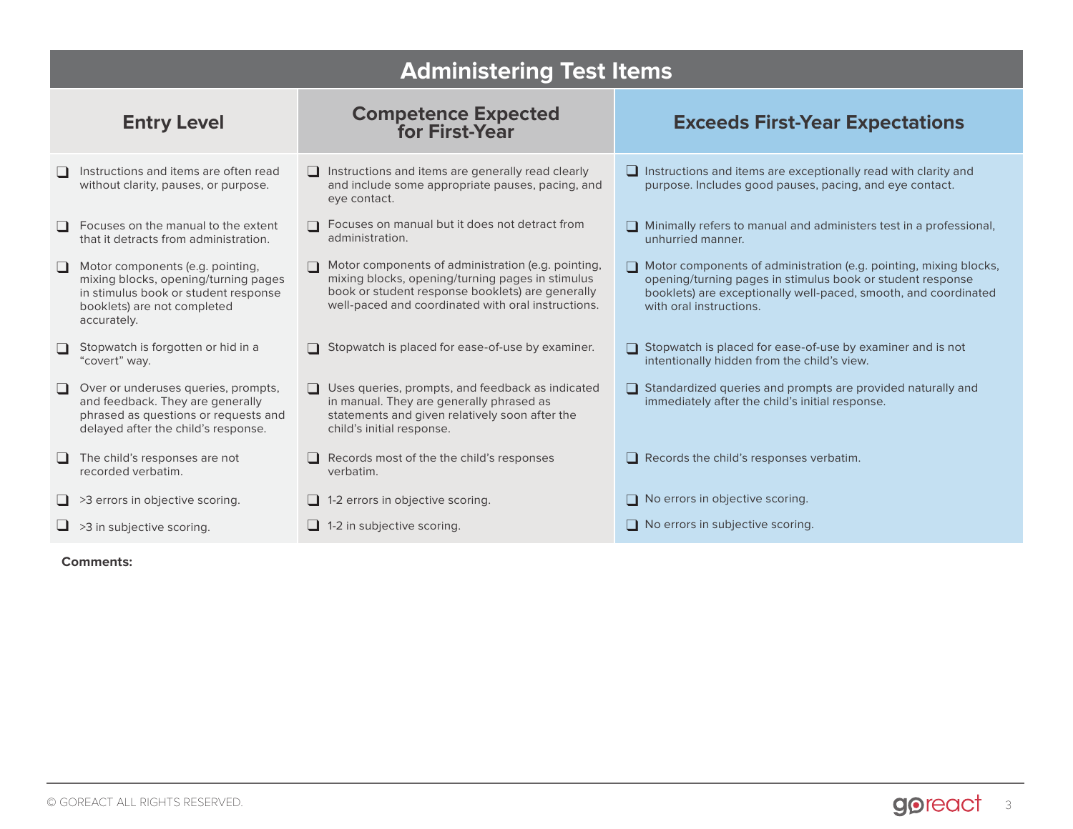|                    | <b>Administering Test Items</b>                                                                                                                                |                                                                                                                                                                                                                  |                                                                                                                                                                                                                                      |  |  |  |
|--------------------|----------------------------------------------------------------------------------------------------------------------------------------------------------------|------------------------------------------------------------------------------------------------------------------------------------------------------------------------------------------------------------------|--------------------------------------------------------------------------------------------------------------------------------------------------------------------------------------------------------------------------------------|--|--|--|
| <b>Entry Level</b> |                                                                                                                                                                | <b>Competence Expected<br/>for First-Year</b>                                                                                                                                                                    | <b>Exceeds First-Year Expectations</b>                                                                                                                                                                                               |  |  |  |
|                    | Instructions and items are often read<br>without clarity, pauses, or purpose.                                                                                  | $\Box$ Instructions and items are generally read clearly<br>and include some appropriate pauses, pacing, and<br>eye contact.                                                                                     | $\Box$ Instructions and items are exceptionally read with clarity and<br>purpose. Includes good pauses, pacing, and eye contact.                                                                                                     |  |  |  |
|                    | Focuses on the manual to the extent<br>that it detracts from administration.                                                                                   | □ Focuses on manual but it does not detract from<br>administration.                                                                                                                                              | $\Box$ Minimally refers to manual and administers test in a professional,<br>unhurried manner.                                                                                                                                       |  |  |  |
| $\Box$             | Motor components (e.g. pointing,<br>mixing blocks, opening/turning pages<br>in stimulus book or student response<br>booklets) are not completed<br>accurately. | Motor components of administration (e.g. pointing,<br>mixing blocks, opening/turning pages in stimulus<br>book or student response booklets) are generally<br>well-paced and coordinated with oral instructions. | $\Box$ Motor components of administration (e.g. pointing, mixing blocks,<br>opening/turning pages in stimulus book or student response<br>booklets) are exceptionally well-paced, smooth, and coordinated<br>with oral instructions. |  |  |  |
|                    | Stopwatch is forgotten or hid in a<br>"covert" way.                                                                                                            | Stopwatch is placed for ease-of-use by examiner.                                                                                                                                                                 | Stopwatch is placed for ease-of-use by examiner and is not<br>intentionally hidden from the child's view.                                                                                                                            |  |  |  |
|                    | Over or underuses queries, prompts,<br>and feedback. They are generally<br>phrased as questions or requests and<br>delayed after the child's response.         | $\Box$ Uses queries, prompts, and feedback as indicated<br>in manual. They are generally phrased as<br>statements and given relatively soon after the<br>child's initial response.                               | $\Box$ Standardized queries and prompts are provided naturally and<br>immediately after the child's initial response.                                                                                                                |  |  |  |
|                    | The child's responses are not<br>recorded verbatim.                                                                                                            | $\Box$ Records most of the the child's responses<br>verbatim.                                                                                                                                                    | $\Box$ Records the child's responses verbatim.                                                                                                                                                                                       |  |  |  |
|                    | $\Box$ >3 errors in objective scoring.                                                                                                                         | $\Box$ 1-2 errors in objective scoring.                                                                                                                                                                          | □ No errors in objective scoring.                                                                                                                                                                                                    |  |  |  |
|                    | $\Box$ >3 in subjective scoring.                                                                                                                               | $\Box$ 1-2 in subjective scoring.                                                                                                                                                                                | $\Box$ No errors in subjective scoring.                                                                                                                                                                                              |  |  |  |

### **Comments:**